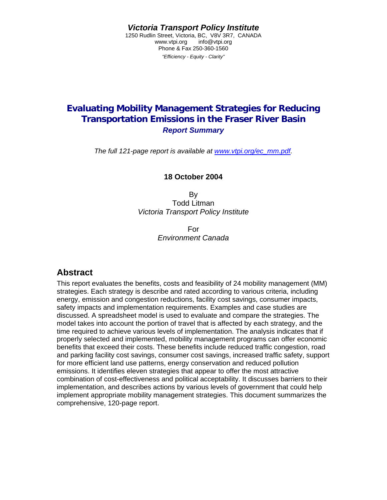*Victoria Transport Policy Institute* 

1250 Rudlin Street, Victoria, BC, V8V 3R7, CANADA www.vtpi.org info@vtpi.org Phone & Fax 250-360-1560 *"Efficiency - Equity - Clarity"*

## **Evaluating Mobility Management Strategies for Reducing Transportation Emissions in the Fraser River Basin**  *Report Summary*

*The full 121-page report is available at [www.vtpi.org/ec\\_mm.pdf.](http://www.vtpi.org/ec_mm.pdf)* 

**18 October 2004** 

By Todd Litman *Victoria Transport Policy Institute*

> For *Environment Canada*

## **Abstract**

This report evaluates the benefits, costs and feasibility of 24 mobility management (MM) strategies. Each strategy is describe and rated according to various criteria, including energy, emission and congestion reductions, facility cost savings, consumer impacts, safety impacts and implementation requirements. Examples and case studies are discussed. A spreadsheet model is used to evaluate and compare the strategies. The model takes into account the portion of travel that is affected by each strategy, and the time required to achieve various levels of implementation. The analysis indicates that if properly selected and implemented, mobility management programs can offer economic benefits that exceed their costs. These benefits include reduced traffic congestion, road and parking facility cost savings, consumer cost savings, increased traffic safety, support for more efficient land use patterns, energy conservation and reduced pollution emissions. It identifies eleven strategies that appear to offer the most attractive combination of cost-effectiveness and political acceptability. It discusses barriers to their implementation, and describes actions by various levels of government that could help implement appropriate mobility management strategies. This document summarizes the comprehensive, 120-page report.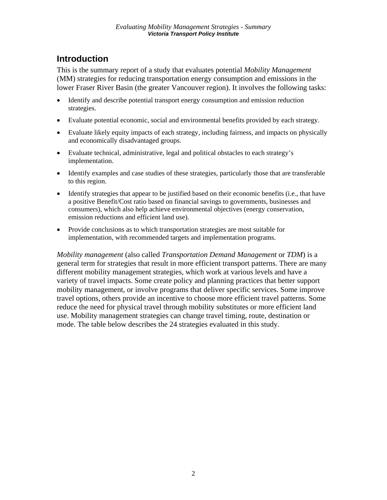## **Introduction**

This is the summary report of a study that evaluates potential *Mobility Management* (MM) strategies for reducing transportation energy consumption and emissions in the lower Fraser River Basin (the greater Vancouver region). It involves the following tasks:

- Identify and describe potential transport energy consumption and emission reduction strategies.
- Evaluate potential economic, social and environmental benefits provided by each strategy.
- Evaluate likely equity impacts of each strategy, including fairness, and impacts on physically and economically disadvantaged groups.
- Evaluate technical, administrative, legal and political obstacles to each strategy's implementation.
- Identify examples and case studies of these strategies, particularly those that are transferable to this region.
- Identify strategies that appear to be justified based on their economic benefits (i.e., that have a positive Benefit/Cost ratio based on financial savings to governments, businesses and consumers), which also help achieve environmental objectives (energy conservation, emission reductions and efficient land use).
- Provide conclusions as to which transportation strategies are most suitable for implementation, with recommended targets and implementation programs.

*Mobility management* (also called *Transportation Demand Management* or *TDM*) is a general term for strategies that result in more efficient transport patterns. There are many different mobility management strategies, which work at various levels and have a variety of travel impacts. Some create policy and planning practices that better support mobility management, or involve programs that deliver specific services. Some improve travel options, others provide an incentive to choose more efficient travel patterns. Some reduce the need for physical travel through mobility substitutes or more efficient land use. Mobility management strategies can change travel timing, route, destination or mode. The table below describes the 24 strategies evaluated in this study.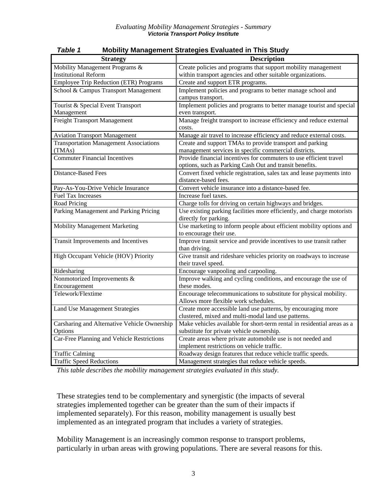| <b>Strategy</b>                               | <b>Description</b>                                                      |  |  |  |  |
|-----------------------------------------------|-------------------------------------------------------------------------|--|--|--|--|
| Mobility Management Programs &                | Create policies and programs that support mobility management           |  |  |  |  |
| <b>Institutional Reform</b>                   | within transport agencies and other suitable organizations.             |  |  |  |  |
| <b>Employee Trip Reduction (ETR) Programs</b> | Create and support ETR programs.                                        |  |  |  |  |
| School & Campus Transport Management          | Implement policies and programs to better manage school and             |  |  |  |  |
|                                               | campus transport.                                                       |  |  |  |  |
| Tourist & Special Event Transport             | Implement policies and programs to better manage tourist and special    |  |  |  |  |
| Management                                    | even transport.                                                         |  |  |  |  |
| Freight Transport Management                  | Manage freight transport to increase efficiency and reduce external     |  |  |  |  |
|                                               | costs.                                                                  |  |  |  |  |
| <b>Aviation Transport Management</b>          | Manage air travel to increase efficiency and reduce external costs.     |  |  |  |  |
| <b>Transportation Management Associations</b> | Create and support TMAs to provide transport and parking                |  |  |  |  |
| (TMAs)                                        | management services in specific commercial districts.                   |  |  |  |  |
| <b>Commuter Financial Incentives</b>          | Provide financial incentives for commuters to use efficient travel      |  |  |  |  |
|                                               | options, such as Parking Cash Out and transit benefits.                 |  |  |  |  |
| <b>Distance-Based Fees</b>                    | Convert fixed vehicle registration, sales tax and lease payments into   |  |  |  |  |
|                                               | distance-based fees.                                                    |  |  |  |  |
| Pay-As-You-Drive Vehicle Insurance            | Convert vehicle insurance into a distance-based fee.                    |  |  |  |  |
| <b>Fuel Tax Increases</b>                     | Increase fuel taxes.                                                    |  |  |  |  |
| Road Pricing                                  | Charge tolls for driving on certain highways and bridges.               |  |  |  |  |
| Parking Management and Parking Pricing        | Use existing parking facilities more efficiently, and charge motorists  |  |  |  |  |
|                                               | directly for parking.                                                   |  |  |  |  |
| Mobility Management Marketing                 | Use marketing to inform people about efficient mobility options and     |  |  |  |  |
|                                               | to encourage their use.                                                 |  |  |  |  |
| Transit Improvements and Incentives           | Improve transit service and provide incentives to use transit rather    |  |  |  |  |
|                                               | than driving.                                                           |  |  |  |  |
| High Occupant Vehicle (HOV) Priority          | Give transit and rideshare vehicles priority on roadways to increase    |  |  |  |  |
|                                               | their travel speed.                                                     |  |  |  |  |
| Ridesharing                                   | Encourage vanpooling and carpooling.                                    |  |  |  |  |
| Nonmotorized Improvements &                   | Improve walking and cycling conditions, and encourage the use of        |  |  |  |  |
| Encouragement                                 | these modes.                                                            |  |  |  |  |
| Telework/Flextime                             | Encourage telecommunications to substitute for physical mobility.       |  |  |  |  |
|                                               | Allows more flexible work schedules.                                    |  |  |  |  |
| <b>Land Use Management Strategies</b>         | Create more accessible land use patterns, by encouraging more           |  |  |  |  |
|                                               | clustered, mixed and multi-modal land use patterns.                     |  |  |  |  |
| Carsharing and Alternative Vehicle Ownership  | Make vehicles available for short-term rental in residential areas as a |  |  |  |  |
| Options                                       | substitute for private vehicle ownership.                               |  |  |  |  |
| Car-Free Planning and Vehicle Restrictions    | Create areas where private automobile use is not needed and             |  |  |  |  |
|                                               | implement restrictions on vehicle traffic.                              |  |  |  |  |
| <b>Traffic Calming</b>                        | Roadway design features that reduce vehicle traffic speeds.             |  |  |  |  |
| <b>Traffic Speed Reductions</b>               | Management strategies that reduce vehicle speeds.                       |  |  |  |  |

#### *Table 1* **Mobility Management Strategies Evaluated in This Study**

*This table describes the mobility management strategies evaluated in this study.* 

These strategies tend to be complementary and synergistic (the impacts of several strategies implemented together can be greater than the sum of their impacts if implemented separately). For this reason, mobility management is usually best implemented as an integrated program that includes a variety of strategies.

Mobility Management is an increasingly common response to transport problems, particularly in urban areas with growing populations. There are several reasons for this.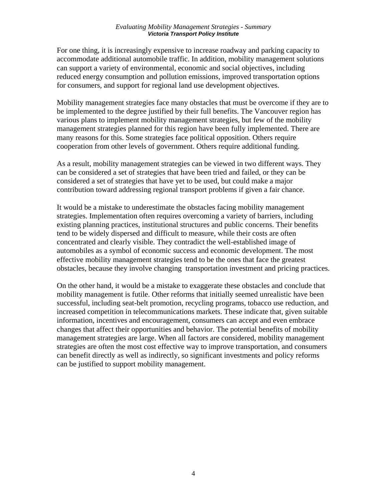#### *Evaluating Mobility Management Strategies - Summary Victoria Transport Policy Institute*

For one thing, it is increasingly expensive to increase roadway and parking capacity to accommodate additional automobile traffic. In addition, mobility management solutions can support a variety of environmental, economic and social objectives, including reduced energy consumption and pollution emissions, improved transportation options for consumers, and support for regional land use development objectives.

Mobility management strategies face many obstacles that must be overcome if they are to be implemented to the degree justified by their full benefits. The Vancouver region has various plans to implement mobility management strategies, but few of the mobility management strategies planned for this region have been fully implemented. There are many reasons for this. Some strategies face political opposition. Others require cooperation from other levels of government. Others require additional funding.

As a result, mobility management strategies can be viewed in two different ways. They can be considered a set of strategies that have been tried and failed, or they can be considered a set of strategies that have yet to be used, but could make a major contribution toward addressing regional transport problems if given a fair chance.

It would be a mistake to underestimate the obstacles facing mobility management strategies. Implementation often requires overcoming a variety of barriers, including existing planning practices, institutional structures and public concerns. Their benefits tend to be widely dispersed and difficult to measure, while their costs are often concentrated and clearly visible. They contradict the well-established image of automobiles as a symbol of economic success and economic development. The most effective mobility management strategies tend to be the ones that face the greatest obstacles, because they involve changing transportation investment and pricing practices.

On the other hand, it would be a mistake to exaggerate these obstacles and conclude that mobility management is futile. Other reforms that initially seemed unrealistic have been successful, including seat-belt promotion, recycling programs, tobacco use reduction, and increased competition in telecommunications markets. These indicate that, given suitable information, incentives and encouragement, consumers can accept and even embrace changes that affect their opportunities and behavior. The potential benefits of mobility management strategies are large. When all factors are considered, mobility management strategies are often the most cost effective way to improve transportation, and consumers can benefit directly as well as indirectly, so significant investments and policy reforms can be justified to support mobility management.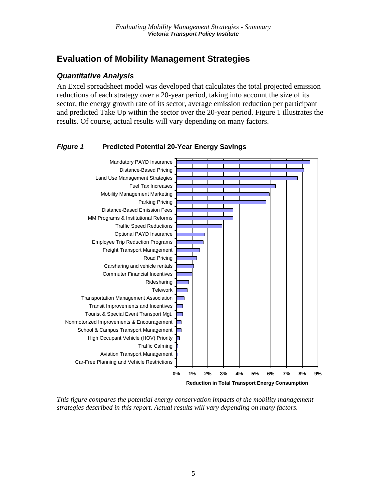## **Evaluation of Mobility Management Strategies**

#### *Quantitative Analysis*

An Excel spreadsheet model was developed that calculates the total projected emission reductions of each strategy over a 20-year period, taking into account the size of its sector, the energy growth rate of its sector, average emission reduction per participant and predicted Take Up within the sector over the 20-year period. Figure 1 illustrates the results. Of course, actual results will vary depending on many factors.

#### *Figure 1* **Predicted Potential 20-Year Energy Savings**



*This figure compares the potential energy conservation impacts of the mobility management strategies described in this report. Actual results will vary depending on many factors.*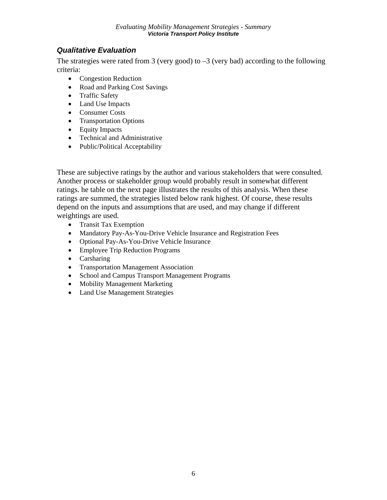## *Qualitative Evaluation*

The strategies were rated from 3 (very good) to  $-3$  (very bad) according to the following criteria:

- Congestion Reduction
- Road and Parking Cost Savings
- Traffic Safety
- Land Use Impacts
- Consumer Costs
- Transportation Options
- Equity Impacts
- Technical and Administrative
- Public/Political Acceptability

These are subjective ratings by the author and various stakeholders that were consulted. Another process or stakeholder group would probably result in somewhat different ratings. he table on the next page illustrates the results of this analysis. When these ratings are summed, the strategies listed below rank highest. Of course, these results depend on the inputs and assumptions that are used, and may change if different weightings are used.

- Transit Tax Exemption
- Mandatory Pay-As-You-Drive Vehicle Insurance and Registration Fees
- Optional Pay-As-You-Drive Vehicle Insurance
- Employee Trip Reduction Programs
- Carsharing
- Transportation Management Association
- School and Campus Transport Management Programs
- Mobility Management Marketing
- Land Use Management Strategies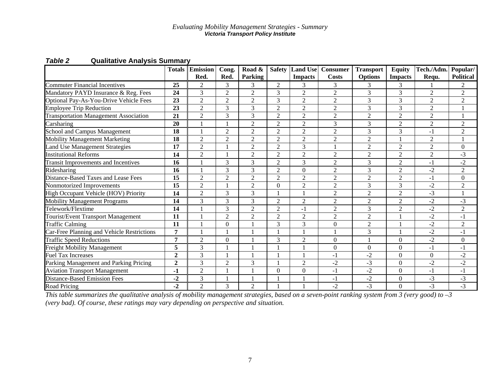|                                              | <b>Totals</b>  | <b>Emission</b><br>Red. | Cong.<br>Red.    | Road &<br>Parking | <b>Safety</b>    | <b>Land Use</b><br><b>Impacts</b> | <b>Consumer</b><br>Costs | <b>Transport</b><br><b>Options</b> | <b>Equity</b><br><b>Impacts</b> | Tech./Adm.<br>Requ. | Popular/<br><b>Political</b> |
|----------------------------------------------|----------------|-------------------------|------------------|-------------------|------------------|-----------------------------------|--------------------------|------------------------------------|---------------------------------|---------------------|------------------------------|
| <b>Commuter Financial Incentives</b>         | 25             | $\mathfrak{D}$          | 3                | 3                 | 2                | 3                                 | 3                        | 3                                  | 3                               |                     | 2                            |
| Mandatory PAYD Insurance & Reg. Fees         | 24             | 3                       | $\overline{2}$   | $\overline{2}$    | 3                | $\overline{2}$                    | $\overline{2}$           | 3                                  | 3                               | $\overline{2}$      | $\overline{2}$               |
| Optional Pay-As-You-Drive Vehicle Fees       | 23             | $\overline{2}$          | $\overline{2}$   | $\overline{2}$    | 3                | $\overline{2}$                    | $\overline{2}$           | 3                                  | 3                               | $\overline{2}$      | $\overline{2}$               |
| <b>Employee Trip Reduction</b>               | 23             | $\overline{2}$          | 3                | 3                 | $\overline{2}$   | $\overline{2}$                    | $\overline{2}$           | 3                                  | 3                               | 2                   |                              |
| <b>Transportation Management Association</b> | 21             | $\overline{2}$          | 3                | 3                 | $\overline{2}$   | $\overline{2}$                    | $\overline{2}$           | $\overline{2}$                     | $\overline{2}$                  | 2                   |                              |
| Carsharing                                   | 20             |                         |                  | $\overline{2}$    | $\overline{2}$   | $\overline{2}$                    | 3                        | 3                                  | $\overline{2}$                  | $\overline{2}$      | $\overline{2}$               |
| School and Campus Management                 | 18             |                         | $\overline{c}$   | $\overline{2}$    | $\overline{2}$   | $\overline{2}$                    | $\overline{2}$           | 3                                  | 3                               | $-1$                | $\overline{2}$               |
| <b>Mobility Management Marketing</b>         | 18             | $\overline{2}$          | $\overline{2}$   | $\overline{2}$    | $\overline{2}$   | $\overline{2}$                    | $\overline{2}$           | $\overline{2}$                     |                                 | 2                   | 1                            |
| Land Use Management Strategies               | 17             | $\overline{2}$          |                  | $\overline{2}$    | $\overline{2}$   | 3                                 |                          | $\overline{2}$                     | $\overline{2}$                  | $\overline{2}$      | $\mathbf{0}$                 |
| <b>Institutional Reforms</b>                 | 14             | $\overline{2}$          |                  | $\overline{2}$    | $\overline{2}$   | $\overline{2}$                    | $\overline{2}$           | $\overline{c}$                     | $\overline{2}$                  | $\overline{2}$      | $-3$                         |
| <b>Transit Improvements and Incentives</b>   | 16             |                         | 3                | 3                 | $\overline{2}$   | 3                                 | $\overline{2}$           | 3                                  | $\overline{2}$                  | $-1$                | $-2$                         |
| Ridesharing                                  | 16             |                         | 3                | 3                 | $\overline{2}$   | $\theta$                          | $\overline{2}$           | 3                                  | $\overline{2}$                  | $-2$                | $\overline{2}$               |
| Distance-Based Taxes and Lease Fees          | 15             | $\overline{c}$          | $\overline{2}$   | $\overline{2}$    | $\overline{2}$   | $\overline{c}$                    | $\overline{2}$           | $\overline{2}$                     | $\overline{2}$                  | $-1$                | $\overline{0}$               |
| Nonmotorized Improvements                    | 15             | $\overline{2}$          |                  | $\overline{2}$    | $\boldsymbol{0}$ | $\overline{2}$                    | $\overline{2}$           | 3                                  | 3                               | $-2$                | $\overline{2}$               |
| High Occupant Vehicle (HOV) Priority         | 14             | $\overline{2}$          | 3                | 3                 |                  |                                   | $\overline{2}$           | $\overline{c}$                     | $\overline{2}$                  | $-3$                |                              |
| <b>Mobility Management Programs</b>          | 14             | 3                       | 3                | 3                 | $\overline{2}$   | $\overline{2}$                    | $\overline{2}$           | $\overline{2}$                     | $\overline{2}$                  | $-2$                | $-3$                         |
| Telework/Flextime                            | 14             |                         | 3                | $\overline{2}$    | $\overline{2}$   | $-1$                              | $\overline{2}$           | 3                                  | $\overline{2}$                  | $-2$                | $\overline{2}$               |
| Tourist/Event Transport Management           | 11             |                         | $\overline{2}$   | 2                 | $\overline{2}$   | $\overline{2}$                    | $\overline{2}$           | $\overline{c}$                     |                                 | $-2$                | $-1$                         |
| <b>Traffic Calming</b>                       | 11             |                         | $\boldsymbol{0}$ |                   | 3                | 3                                 | $\boldsymbol{0}$         | $\overline{c}$                     |                                 | $-2$                | $\overline{2}$               |
| Car-Free Planning and Vehicle Restrictions   | 7              |                         |                  |                   |                  |                                   |                          | 3                                  |                                 | $-2$                | $-1$                         |
| <b>Traffic Speed Reductions</b>              | $\overline{7}$ | $\overline{2}$          | $\theta$         |                   | 3                | $\overline{2}$                    | $\boldsymbol{0}$         |                                    | $\overline{0}$                  | $-2$                | $\boldsymbol{0}$             |
| Freight Mobility Management                  | 5              | 3                       |                  |                   |                  |                                   | $\mathbf{0}$             | $\boldsymbol{0}$                   | $\mathbf{0}$                    | $-1$                | $-1$                         |
| <b>Fuel Tax Increases</b>                    | $\mathbf{2}$   | 3                       |                  |                   |                  |                                   | $-1$                     | $-2$                               | $\overline{0}$                  | $\Omega$            | $-2$                         |
| Parking Management and Parking Pricing       | $\overline{2}$ | 3                       | $\overline{c}$   | 3                 |                  | $\overline{2}$                    | $-2$                     | $-3$                               | $\boldsymbol{0}$                | $-2$                | $-2$                         |
| <b>Aviation Transport Management</b>         | -1             | $\overline{2}$          |                  |                   | $\overline{0}$   | $\Omega$                          | $-1$                     | $-2$                               | $\mathbf{0}$                    | $-1$                | $-1$                         |
| <b>Distance-Based Emission Fees</b>          | $-2$           | 3                       |                  |                   |                  |                                   | $-1$                     | $-2$                               | $\boldsymbol{0}$                | $-3$                | $-3$                         |
| <b>Road Pricing</b>                          | $-2$           | $\overline{2}$          | 3                | $\overline{2}$    |                  |                                   | $-2$                     | $-3$                               | $\Omega$                        | $-3$                | $-3$                         |

*Table 2* **Qualitative Analysis Summary** 

*This table summarizes the qualitative analysis of mobility management strategies, based on a seven-point ranking system from 3 (very good) to –3 (very bad). Of course, these ratings may vary depending on perspective and situation.*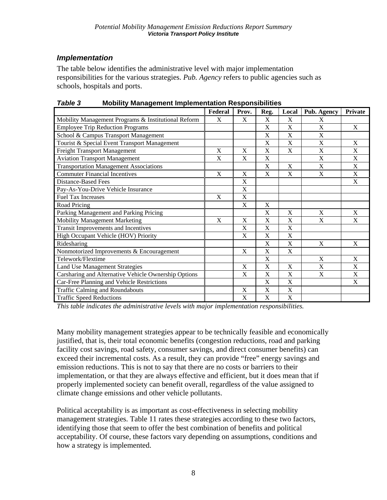## *Implementation*

The table below identifies the administrative level with major implementation responsibilities for the various strategies. *Pub. Agency* refers to public agencies such as schools, hospitals and ports.

| , uwit v<br>mobility management implementation reoponsibilities | Federal     | Prov.                 | Reg.                      | Local                     | Pub. Agency               | <b>Private</b> |
|-----------------------------------------------------------------|-------------|-----------------------|---------------------------|---------------------------|---------------------------|----------------|
| Mobility Management Programs & Institutional Reform             | X           | X                     | X                         | $\mathbf X$               | X                         |                |
| <b>Employee Trip Reduction Programs</b>                         |             |                       | X                         | $\mathbf X$               | X                         | X              |
| School & Campus Transport Management                            |             |                       | X                         | X                         | X                         |                |
| Tourist & Special Event Transport Management                    |             |                       | X                         | X                         | X                         | X              |
| <b>Freight Transport Management</b>                             | X           | X                     | X                         | X                         | X                         | X              |
| <b>Aviation Transport Management</b>                            | X           | X                     | $\boldsymbol{\mathrm{X}}$ |                           | X                         | X              |
| <b>Transportation Management Associations</b>                   |             |                       | X                         | $\mathbf X$               | $\mathbf X$               | X              |
| <b>Commuter Financial Incentives</b>                            | X           | X                     | X                         | X                         | X                         | X              |
| <b>Distance-Based Fees</b>                                      |             | $\overline{\text{X}}$ |                           |                           |                           | X              |
| Pay-As-You-Drive Vehicle Insurance                              |             | $\mathbf X$           |                           |                           |                           |                |
| <b>Fuel Tax Increases</b>                                       | $\mathbf X$ | X                     |                           |                           |                           |                |
| Road Pricing                                                    |             | $\mathbf X$           | $\mathbf X$               |                           |                           |                |
| Parking Management and Parking Pricing                          |             |                       | $\mathbf X$               | X                         | X                         | X              |
| Mobility Management Marketing                                   | X           | $\mathbf X$           | $\mathbf X$               | $\boldsymbol{\mathrm{X}}$ | $\boldsymbol{\mathrm{X}}$ | X              |
| <b>Transit Improvements and Incentives</b>                      |             | X                     | X                         | $\mathbf X$               |                           |                |
| High Occupant Vehicle (HOV) Priority                            |             | X                     | X                         | $\mathbf X$               |                           |                |
| Ridesharing                                                     |             |                       | X                         | $\mathbf X$               | X                         | X              |
| Nonmotorized Improvements & Encouragement                       |             | $\mathbf X$           | X                         | $\mathbf X$               |                           |                |
| Telework/Flextime                                               |             |                       | X                         |                           | X                         | X              |
| Land Use Management Strategies                                  |             | X                     | X                         | X                         | X                         | X              |
| Carsharing and Alternative Vehicle Ownership Options            |             | $\mathbf X$           | X                         | $\boldsymbol{\mathrm{X}}$ | $\boldsymbol{\mathrm{X}}$ | $\mathbf X$    |
| Car-Free Planning and Vehicle Restrictions                      |             |                       | X                         | $\mathbf X$               |                           | X              |
| <b>Traffic Calming and Roundabouts</b>                          |             | $\mathbf X$           | $\mathbf X$               | $\mathbf X$               |                           |                |
| <b>Traffic Speed Reductions</b>                                 |             | $\mathbf X$           | $\mathbf X$               | $\mathbf X$               |                           |                |

*Table 3* **Mobility Management Implementation Responsibilities** 

*This table indicates the administrative levels with major implementation responsibilities.* 

Many mobility management strategies appear to be technically feasible and economically justified, that is, their total economic benefits (congestion reductions, road and parking facility cost savings, road safety, consumer savings, and direct consumer benefits) can exceed their incremental costs. As a result, they can provide "free" energy savings and emission reductions. This is not to say that there are no costs or barriers to their implementation, or that they are always effective and efficient, but it does mean that if properly implemented society can benefit overall, regardless of the value assigned to climate change emissions and other vehicle pollutants.

Political acceptability is as important as cost-effectiveness in selecting mobility management strategies. Table 11 rates these strategies according to these two factors, identifying those that seem to offer the best combination of benefits and political acceptability. Of course, these factors vary depending on assumptions, conditions and how a strategy is implemented.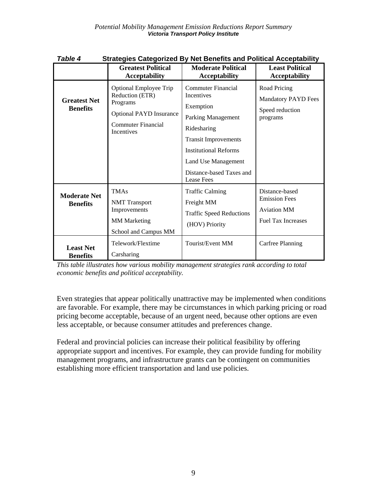| <b>Strategies Categorized By Net Benefits and Political Acceptability</b><br>Table 4 |                                                                                                                                    |                                                                                                                                                                                                                                  |                                                                                           |  |  |  |  |  |
|--------------------------------------------------------------------------------------|------------------------------------------------------------------------------------------------------------------------------------|----------------------------------------------------------------------------------------------------------------------------------------------------------------------------------------------------------------------------------|-------------------------------------------------------------------------------------------|--|--|--|--|--|
|                                                                                      | <b>Greatest Political</b><br><b>Acceptability</b>                                                                                  | <b>Moderate Political</b><br><b>Acceptability</b>                                                                                                                                                                                | <b>Least Political</b><br><b>Acceptability</b>                                            |  |  |  |  |  |
| <b>Greatest Net</b><br><b>Benefits</b>                                               | Optional Employee Trip<br>Reduction (ETR)<br>Programs<br><b>Optional PAYD Insurance</b><br>Commuter Financial<br><b>Incentives</b> | Commuter Financial<br><b>Incentives</b><br>Exemption<br>Parking Management<br>Ridesharing<br><b>Transit Improvements</b><br><b>Institutional Reforms</b><br>Land Use Management<br>Distance-based Taxes and<br><b>Lease Fees</b> | Road Pricing<br><b>Mandatory PAYD Fees</b><br>Speed reduction<br>programs                 |  |  |  |  |  |
| <b>Moderate Net</b><br><b>Benefits</b>                                               | <b>TMAs</b><br><b>NMT</b> Transport<br>Improvements<br><b>MM</b> Marketing<br>School and Campus MM                                 | <b>Traffic Calming</b><br>Freight MM<br><b>Traffic Speed Reductions</b><br>(HOV) Priority                                                                                                                                        | Distance-based<br><b>Emission Fees</b><br><b>Aviation MM</b><br><b>Fuel Tax Increases</b> |  |  |  |  |  |
| <b>Least Net</b><br><b>Benefits</b>                                                  | Telework/Flextime<br>Carsharing                                                                                                    | Tourist/Event MM                                                                                                                                                                                                                 | Carfree Planning                                                                          |  |  |  |  |  |

*This table illustrates how various mobility management strategies rank according to total economic benefits and political acceptability.* 

Even strategies that appear politically unattractive may be implemented when conditions are favorable. For example, there may be circumstances in which parking pricing or road pricing become acceptable, because of an urgent need, because other options are even less acceptable, or because consumer attitudes and preferences change.

Federal and provincial policies can increase their political feasibility by offering appropriate support and incentives. For example, they can provide funding for mobility management programs, and infrastructure grants can be contingent on communities establishing more efficient transportation and land use policies.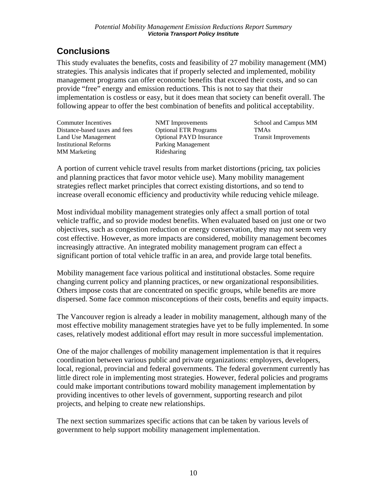## **Conclusions**

This study evaluates the benefits, costs and feasibility of 27 mobility management (MM) strategies. This analysis indicates that if properly selected and implemented, mobility management programs can offer economic benefits that exceed their costs, and so can provide "free" energy and emission reductions. This is not to say that their implementation is costless or easy, but it does mean that society can benefit overall. The following appear to offer the best combination of benefits and political acceptability.

Commuter Incentives Distance-based taxes and fees Land Use Management Institutional Reforms MM Marketing

NMT Improvements Optional ETR Programs Optional PAYD Insurance Parking Management Ridesharing

School and Campus MM TMAs Transit Improvements

A portion of current vehicle travel results from market distortions (pricing, tax policies and planning practices that favor motor vehicle use). Many mobility management strategies reflect market principles that correct existing distortions, and so tend to increase overall economic efficiency and productivity while reducing vehicle mileage.

Most individual mobility management strategies only affect a small portion of total vehicle traffic, and so provide modest benefits. When evaluated based on just one or two objectives, such as congestion reduction or energy conservation, they may not seem very cost effective. However, as more impacts are considered, mobility management becomes increasingly attractive. An integrated mobility management program can effect a significant portion of total vehicle traffic in an area, and provide large total benefits.

Mobility management face various political and institutional obstacles. Some require changing current policy and planning practices, or new organizational responsibilities. Others impose costs that are concentrated on specific groups, while benefits are more dispersed. Some face common misconceptions of their costs, benefits and equity impacts.

The Vancouver region is already a leader in mobility management, although many of the most effective mobility management strategies have yet to be fully implemented. In some cases, relatively modest additional effort may result in more successful implementation.

One of the major challenges of mobility management implementation is that it requires coordination between various public and private organizations: employers, developers, local, regional, provincial and federal governments. The federal government currently has little direct role in implementing most strategies. However, federal policies and programs could make important contributions toward mobility management implementation by providing incentives to other levels of government, supporting research and pilot projects, and helping to create new relationships.

The next section summarizes specific actions that can be taken by various levels of government to help support mobility management implementation.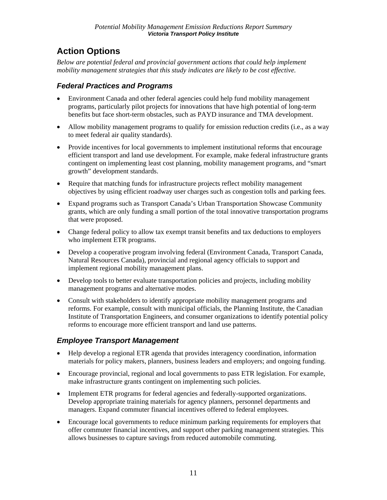# **Action Options**

*Below are potential federal and provincial government actions that could help implement mobility management strategies that this study indicates are likely to be cost effective.* 

## *Federal Practices and Programs*

- Environment Canada and other federal agencies could help fund mobility management programs, particularly pilot projects for innovations that have high potential of long-term benefits but face short-term obstacles, such as PAYD insurance and TMA development.
- Allow mobility management programs to qualify for emission reduction credits (i.e., as a way to meet federal air quality standards).
- Provide incentives for local governments to implement institutional reforms that encourage efficient transport and land use development. For example, make federal infrastructure grants contingent on implementing least cost planning, mobility management programs, and "smart growth" development standards.
- Require that matching funds for infrastructure projects reflect mobility management objectives by using efficient roadway user charges such as congestion tolls and parking fees.
- Expand programs such as Transport Canada's Urban Transportation Showcase Community grants, which are only funding a small portion of the total innovative transportation programs that were proposed.
- Change federal policy to allow tax exempt transit benefits and tax deductions to employers who implement ETR programs.
- Develop a cooperative program involving federal (Environment Canada, Transport Canada, Natural Resources Canada), provincial and regional agency officials to support and implement regional mobility management plans.
- Develop tools to better evaluate transportation policies and projects, including mobility management programs and alternative modes.
- Consult with stakeholders to identify appropriate mobility management programs and reforms. For example, consult with municipal officials, the Planning Institute, the Canadian Institute of Transportation Engineers, and consumer organizations to identify potential policy reforms to encourage more efficient transport and land use patterns.

## *Employee Transport Management*

- Help develop a regional ETR agenda that provides interagency coordination, information materials for policy makers, planners, business leaders and employers; and ongoing funding.
- Encourage provincial, regional and local governments to pass ETR legislation. For example, make infrastructure grants contingent on implementing such policies.
- Implement ETR programs for federal agencies and federally-supported organizations. Develop appropriate training materials for agency planners, personnel departments and managers. Expand commuter financial incentives offered to federal employees.
- Encourage local governments to reduce minimum parking requirements for employers that offer commuter financial incentives, and support other parking management strategies. This allows businesses to capture savings from reduced automobile commuting.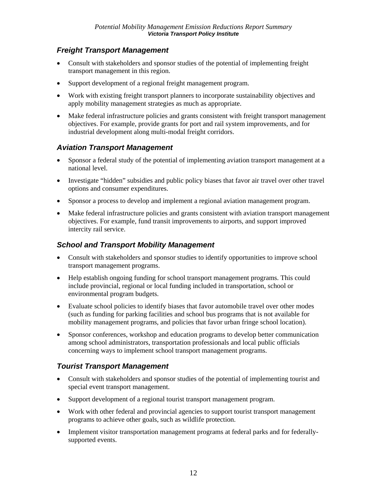## *Freight Transport Management*

- Consult with stakeholders and sponsor studies of the potential of implementing freight transport management in this region.
- Support development of a regional freight management program.
- Work with existing freight transport planners to incorporate sustainability objectives and apply mobility management strategies as much as appropriate.
- Make federal infrastructure policies and grants consistent with freight transport management objectives. For example, provide grants for port and rail system improvements, and for industrial development along multi-modal freight corridors.

#### *Aviation Transport Management*

- Sponsor a federal study of the potential of implementing aviation transport management at a national level.
- Investigate "hidden" subsidies and public policy biases that favor air travel over other travel options and consumer expenditures.
- Sponsor a process to develop and implement a regional aviation management program.
- Make federal infrastructure policies and grants consistent with aviation transport management objectives. For example, fund transit improvements to airports, and support improved intercity rail service.

#### *School and Transport Mobility Management*

- Consult with stakeholders and sponsor studies to identify opportunities to improve school transport management programs.
- Help establish ongoing funding for school transport management programs. This could include provincial, regional or local funding included in transportation, school or environmental program budgets.
- Evaluate school policies to identify biases that favor automobile travel over other modes (such as funding for parking facilities and school bus programs that is not available for mobility management programs, and policies that favor urban fringe school location).
- Sponsor conferences, workshop and education programs to develop better communication among school administrators, transportation professionals and local public officials concerning ways to implement school transport management programs.

## *Tourist Transport Management*

- Consult with stakeholders and sponsor studies of the potential of implementing tourist and special event transport management.
- Support development of a regional tourist transport management program.
- Work with other federal and provincial agencies to support tourist transport management programs to achieve other goals, such as wildlife protection.
- Implement visitor transportation management programs at federal parks and for federallysupported events.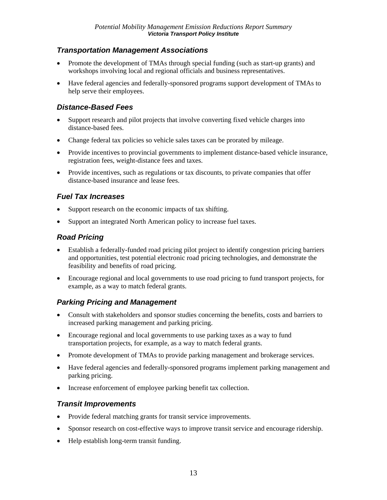### *Transportation Management Associations*

- Promote the development of TMAs through special funding (such as start-up grants) and workshops involving local and regional officials and business representatives.
- Have federal agencies and federally-sponsored programs support development of TMAs to help serve their employees.

#### *Distance-Based Fees*

- Support research and pilot projects that involve converting fixed vehicle charges into distance-based fees.
- Change federal tax policies so vehicle sales taxes can be prorated by mileage.
- Provide incentives to provincial governments to implement distance-based vehicle insurance, registration fees, weight-distance fees and taxes.
- Provide incentives, such as regulations or tax discounts, to private companies that offer distance-based insurance and lease fees.

### *Fuel Tax Increases*

- Support research on the economic impacts of tax shifting.
- Support an integrated North American policy to increase fuel taxes.

### *Road Pricing*

- Establish a federally-funded road pricing pilot project to identify congestion pricing barriers and opportunities, test potential electronic road pricing technologies, and demonstrate the feasibility and benefits of road pricing.
- Encourage regional and local governments to use road pricing to fund transport projects, for example, as a way to match federal grants.

## *Parking Pricing and Management*

- Consult with stakeholders and sponsor studies concerning the benefits, costs and barriers to increased parking management and parking pricing.
- Encourage regional and local governments to use parking taxes as a way to fund transportation projects, for example, as a way to match federal grants.
- Promote development of TMAs to provide parking management and brokerage services.
- Have federal agencies and federally-sponsored programs implement parking management and parking pricing.
- Increase enforcement of employee parking benefit tax collection.

#### *Transit Improvements*

- Provide federal matching grants for transit service improvements.
- Sponsor research on cost-effective ways to improve transit service and encourage ridership.
- Help establish long-term transit funding.